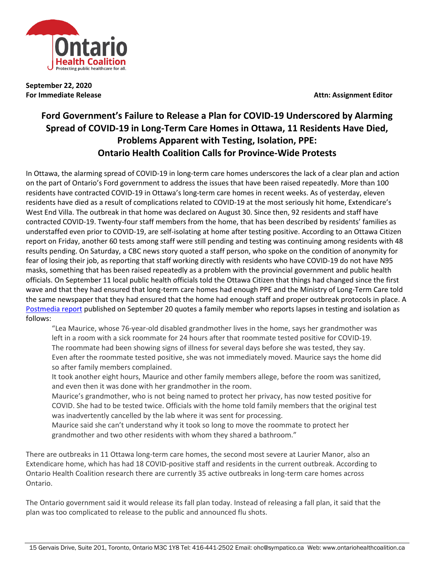

**September 22, 2020**

**For Immediate Release Attn: Assignment Editor** 

## **Ford Government's Failure to Release a Plan for COVID-19 Underscored by Alarming Spread of COVID-19 in Long-Term Care Homes in Ottawa, 11 Residents Have Died, Problems Apparent with Testing, Isolation, PPE: Ontario Health Coalition Calls for Province-Wide Protests**

In Ottawa, the alarming spread of COVID-19 in long-term care homes underscores the lack of a clear plan and action on the part of Ontario's Ford government to address the issues that have been raised repeatedly. More than 100 residents have contracted COVID-19 in Ottawa's long-term care homes in recent weeks. As of yesterday, eleven residents have died as a result of complications related to COVID-19 at the most seriously hit home, Extendicare's West End Villa. The outbreak in that home was declared on August 30. Since then, 92 residents and staff have contracted COVID-19. Twenty-four staff members from the home, that has been described by residents' families as understaffed even prior to COVID-19, are self-isolating at home after testing positive. According to an Ottawa Citizen report on Friday, another 60 tests among staff were still pending and testing was continuing among residents with 48 results pending. On Saturday, a CBC news story quoted a staff person, who spoke on the condition of anonymity for fear of losing their job, as reporting that staff working directly with residents who have COVID-19 do not have N95 masks, something that has been raised repeatedly as a problem with the provincial government and public health officials. On September 11 local public health officials told the Ottawa Citizen that things had changed since the first wave and that they had ensured that long-term care homes had enough PPE and the Ministry of Long-Term Care told the same newspaper that they had ensured that the home had enough staff and proper outbreak protocols in place. A [Postmedia report](https://www.sprucegroveexaminer.com/news/provincial/long-term-care-we-said-we-would-never-let-this-happen-again/wcm/4251ce72-b85c-4fe5-860e-0f821f49a8b3) published on September 20 quotes a family member who reports lapses in testing and isolation as follows:

"Lea Maurice, whose 76-year-old disabled grandmother lives in the home, says her grandmother was left in a room with a sick roommate for 24 hours after that roommate tested positive for COVID-19. The roommate had been showing signs of illness for several days before she was tested, they say. Even after the roommate tested positive, she was not immediately moved. Maurice says the home did so after family members complained.

It took another eight hours, Maurice and other family members allege, before the room was sanitized, and even then it was done with her grandmother in the room.

Maurice's grandmother, who is not being named to protect her privacy, has now tested positive for COVID. She had to be tested twice. Officials with the home told family members that the original test was inadvertently cancelled by the lab where it was sent for processing.

Maurice said she can't understand why it took so long to move the roommate to protect her grandmother and two other residents with whom they shared a bathroom."

There are outbreaks in 11 Ottawa long-term care homes, the second most severe at Laurier Manor, also an Extendicare home, which has had 18 COVID-positive staff and residents in the current outbreak. According to Ontario Health Coalition research there are currently 35 active outbreaks in long-term care homes across Ontario.

The Ontario government said it would release its fall plan today. Instead of releasing a fall plan, it said that the plan was too complicated to release to the public and announced flu shots.